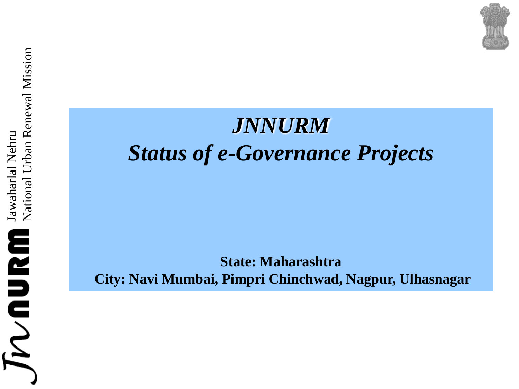## *JNNURM Status of e-Governance Projects*

**State: Maharashtra City: Navi Mumbai, Pimpri Chinchwad, Nagpur, Ulhasnagar**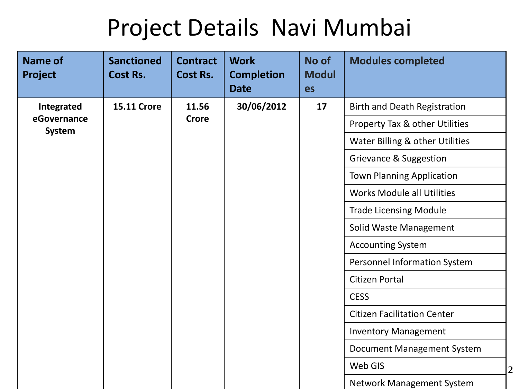# Project Details Navi Mumbai

| Name of<br>Project    | <b>Sanctioned</b><br><b>Cost Rs.</b> | <b>Contract</b><br><b>Cost Rs.</b> | <b>Work</b><br><b>Completion</b><br><b>Date</b> | No of<br><b>Modul</b><br>es | <b>Modules completed</b>            |
|-----------------------|--------------------------------------|------------------------------------|-------------------------------------------------|-----------------------------|-------------------------------------|
| Integrated            | <b>15.11 Crore</b>                   | 11.56                              | 30/06/2012                                      | 17                          | <b>Birth and Death Registration</b> |
| eGovernance<br>System |                                      | <b>Crore</b>                       |                                                 |                             | Property Tax & other Utilities      |
|                       |                                      |                                    |                                                 |                             | Water Billing & other Utilities     |
|                       |                                      |                                    |                                                 |                             | Grievance & Suggestion              |
|                       |                                      |                                    |                                                 |                             | <b>Town Planning Application</b>    |
|                       |                                      |                                    |                                                 |                             | <b>Works Module all Utilities</b>   |
|                       |                                      |                                    |                                                 |                             | <b>Trade Licensing Module</b>       |
|                       |                                      |                                    |                                                 |                             | Solid Waste Management              |
|                       |                                      |                                    |                                                 |                             | <b>Accounting System</b>            |
|                       |                                      |                                    |                                                 |                             | Personnel Information System        |
|                       |                                      |                                    |                                                 |                             | <b>Citizen Portal</b>               |
|                       |                                      |                                    |                                                 |                             | <b>CESS</b>                         |
|                       |                                      |                                    |                                                 |                             | <b>Citizen Facilitation Center</b>  |
|                       |                                      |                                    |                                                 |                             | <b>Inventory Management</b>         |
|                       |                                      |                                    |                                                 |                             | Document Management System          |
|                       |                                      |                                    |                                                 |                             | Web GIS                             |
|                       |                                      |                                    |                                                 |                             | <b>Network Management System</b>    |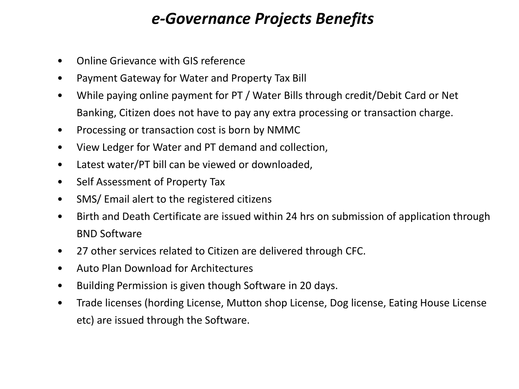### *e-Governance Projects Benefits*

- Online Grievance with GIS reference
- Payment Gateway for Water and Property Tax Bill
- While paying online payment for PT / Water Bills through credit/Debit Card or Net Banking, Citizen does not have to pay any extra processing or transaction charge.
- Processing or transaction cost is born by NMMC
- View Ledger for Water and PT demand and collection,
- Latest water/PT bill can be viewed or downloaded,
- Self Assessment of Property Tax
- SMS/ Email alert to the registered citizens
- Birth and Death Certificate are issued within 24 hrs on submission of application through BND Software
- 27 other services related to Citizen are delivered through CFC.
- Auto Plan Download for Architectures
- Building Permission is given though Software in 20 days.
- Trade licenses (hording License, Mutton shop License, Dog license, Eating House License etc) are issued through the Software.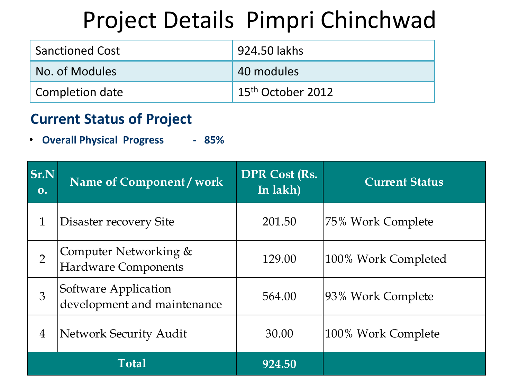## Project Details Pimpri Chinchwad

| <b>Sanctioned Cost</b> | 924.50 lakhs                  |
|------------------------|-------------------------------|
| No. of Modules         | 40 modules                    |
| Completion date        | 15 <sup>th</sup> October 2012 |

#### **Current Status of Project**

|                | <b>Overall Physical Progress</b><br>$-85%$          |                                  |                       |
|----------------|-----------------------------------------------------|----------------------------------|-----------------------|
| Sr.N<br>0.     | Name of Component / work                            | <b>DPR Cost (Rs.</b><br>In lakh) | <b>Current Status</b> |
| $\mathbf{1}$   | Disaster recovery Site                              | 201.50                           | 75% Work Complete     |
| $\overline{2}$ | Computer Networking &<br><b>Hardware Components</b> | 129.00                           | 100% Work Completed   |
| 3              | Software Application<br>development and maintenance | 564.00                           | 93% Work Complete     |
| $\overline{4}$ | <b>Network Security Audit</b>                       | 30.00                            | 100% Work Complete    |
|                | <b>Total</b>                                        | 924.50                           |                       |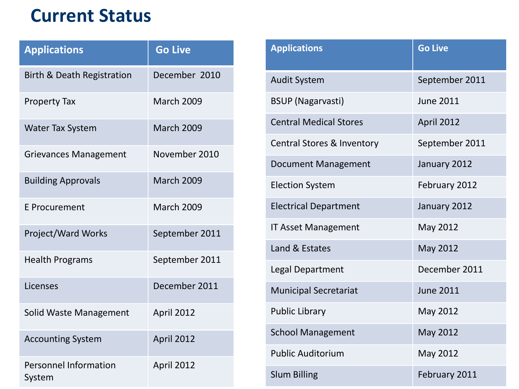## **Current Status**

| <b>Applications</b>                    | <b>Go Live</b>    |
|----------------------------------------|-------------------|
| <b>Birth &amp; Death Registration</b>  | December 2010     |
| <b>Property Tax</b>                    | <b>March 2009</b> |
| <b>Water Tax System</b>                | <b>March 2009</b> |
| <b>Grievances Management</b>           | November 2010     |
| <b>Building Approvals</b>              | <b>March 2009</b> |
| E Procurement                          | <b>March 2009</b> |
| Project/Ward Works                     | September 2011    |
| <b>Health Programs</b>                 | September 2011    |
| Licenses                               | December 2011     |
| Solid Waste Management                 | April 2012        |
| <b>Accounting System</b>               | April 2012        |
| <b>Personnel Information</b><br>System | April 2012        |

| <b>Applications</b>           | <b>Go Live</b>   |
|-------------------------------|------------------|
| <b>Audit System</b>           | September 2011   |
| <b>BSUP (Nagarvasti)</b>      | <b>June 2011</b> |
| <b>Central Medical Stores</b> | April 2012       |
| Central Stores & Inventory    | September 2011   |
| <b>Document Management</b>    | January 2012     |
| <b>Election System</b>        | February 2012    |
| <b>Electrical Department</b>  | January 2012     |
| <b>IT Asset Management</b>    | May 2012         |
| Land & Estates                | May 2012         |
| <b>Legal Department</b>       | December 2011    |
| <b>Municipal Secretariat</b>  | <b>June 2011</b> |
| <b>Public Library</b>         | May 2012         |
| <b>School Management</b>      | May 2012         |
| <b>Public Auditorium</b>      | May 2012         |
| <b>Slum Billing</b>           | February 2011    |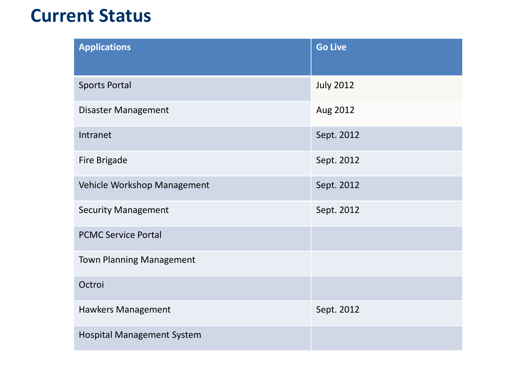## **Current Status**

| <b>Applications</b>               | <b>Go Live</b>   |
|-----------------------------------|------------------|
| <b>Sports Portal</b>              | <b>July 2012</b> |
| Disaster Management               | Aug 2012         |
| Intranet                          | Sept. 2012       |
| Fire Brigade                      | Sept. 2012       |
| Vehicle Workshop Management       | Sept. 2012       |
| <b>Security Management</b>        | Sept. 2012       |
| <b>PCMC Service Portal</b>        |                  |
| <b>Town Planning Management</b>   |                  |
| Octroi                            |                  |
| Hawkers Management                | Sept. 2012       |
| <b>Hospital Management System</b> |                  |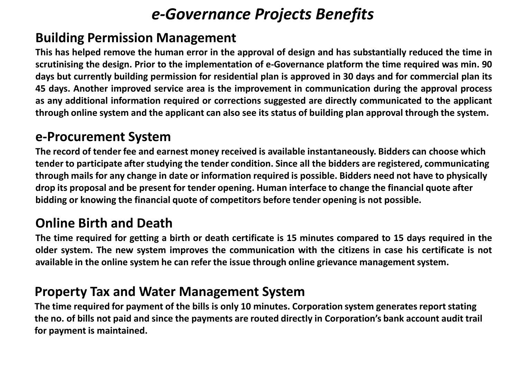### *e-Governance Projects Benefits*

#### **Building Permission Management**

This has helped remove the human error in the approval of design and has substantially reduced the time in **scrutinising the design. Prior to the implementation of e-Governance platform the time required was min. 90** days but currently building permission for residential plan is approved in 30 days and for commercial plan its **45 days. Another improved service area is the improvement in communication during the approval process as any additional information required or corrections suggested are directly communicated to the applicant** through online system and the applicant can also see its status of building plan approval through the system.

#### **e-Procurement System**

**The record of tender fee and earnest money received is available instantaneously. Bidders can choose which tender to participate after studying the tender condition. Since all the bidders are registered, communicating through mails for any change in date or information required is possible. Bidders need not have to physically drop its proposal and be present for tender opening. Human interface to change the financial quote after bidding or knowing the financial quote of competitors before tender opening is not possible.**

#### **Online Birth and Death**

The time required for getting a birth or death certificate is 15 minutes compared to 15 days required in the **older system. The new system improves the communication with the citizens in case his certificate is not available in the online system he can refer the issue through online grievance managementsystem.**

#### **Property Tax and Water Management System**

**The time required for payment of the bills is only 10 minutes. Corporation system generates report stating the no. of bills not paid and since the payments are routed directly in Corporation's bank account audit trail for payment is maintained.**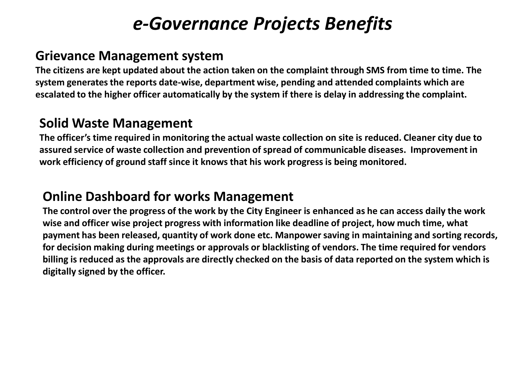## *e-Governance Projects Benefits*

#### **Grievance Management system**

**The citizens are kept updated about the action taken on the complaint through SMS from time to time. The system generates the reports date-wise, department wise, pending and attended complaints which are escalated to the higher officer automatically by the system if there is delay in addressing the complaint.** 

#### **Solid Waste Management**

**The officer's time required in monitoring the actual waste collection on site is reduced. Cleaner city due to assured service of waste collection and prevention of spread of communicable diseases. Improvement in work efficiency of ground staff since it knows that his work progress is being monitored.**

#### **Online Dashboard for works Management**

**The control over the progress of the work by the City Engineer is enhanced as he can access daily the work wise and officer wise project progress with information like deadline of project, how much time, what payment has been released, quantity of work done etc. Manpower saving in maintaining and sorting records, for decision making during meetings or approvals or blacklisting of vendors. The time required for vendors billing is reduced as the approvals are directly checked on the basis of data reported on the system which is digitally signed by the officer.**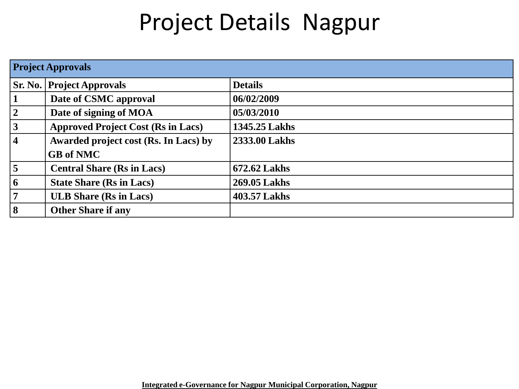## Project Details Nagpur

|                 | <b>Project Approvals</b>                  |                |  |  |  |  |  |
|-----------------|-------------------------------------------|----------------|--|--|--|--|--|
| Sr. No.         | <b>Project Approvals</b>                  | <b>Details</b> |  |  |  |  |  |
| $\mathbf{1}$    | Date of CSMC approval                     | 06/02/2009     |  |  |  |  |  |
| $\vert 2 \vert$ | Date of signing of MOA                    | 05/03/2010     |  |  |  |  |  |
| 3               | <b>Approved Project Cost (Rs in Lacs)</b> | 1345.25 Lakhs  |  |  |  |  |  |
| $\sqrt{4}$      | Awarded project cost (Rs. In Lacs) by     | 2333.00 Lakhs  |  |  |  |  |  |
|                 | <b>GB</b> of NMC                          |                |  |  |  |  |  |
| $\vert$ 5       | <b>Central Share (Rs in Lacs)</b>         | 672.62 Lakhs   |  |  |  |  |  |
| $\vert 6 \vert$ | <b>State Share (Rs in Lacs)</b>           | 269.05 Lakhs   |  |  |  |  |  |
| $7\overline{ }$ | <b>ULB Share (Rs in Lacs)</b>             | 403.57 Lakhs   |  |  |  |  |  |
| $\vert 8 \vert$ | <b>Other Share if any</b>                 |                |  |  |  |  |  |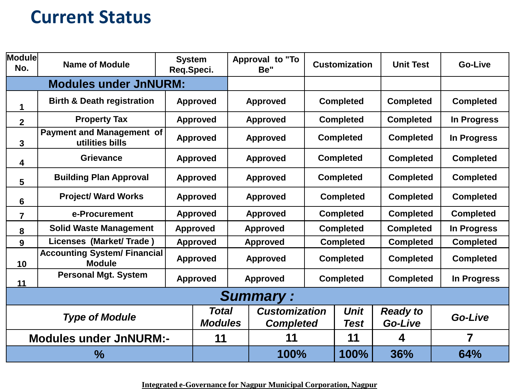## **Current Status**

| <b>Module</b><br>No.    | <b>Name of Module</b>                                |  | <b>System</b><br>Req.Speci.    |                 | Approval to "To<br>Be"                   |      | <b>Customization</b> | <b>Unit Test</b>           | Go-Live          |
|-------------------------|------------------------------------------------------|--|--------------------------------|-----------------|------------------------------------------|------|----------------------|----------------------------|------------------|
|                         | <b>Modules under JnNURM:</b>                         |  |                                |                 |                                          |      |                      |                            |                  |
| 1                       | <b>Birth &amp; Death registration</b>                |  | <b>Approved</b>                |                 | <b>Approved</b>                          |      | <b>Completed</b>     | <b>Completed</b>           | <b>Completed</b> |
| $\overline{\mathbf{2}}$ | <b>Property Tax</b>                                  |  | <b>Approved</b>                |                 | <b>Approved</b>                          |      | <b>Completed</b>     | <b>Completed</b>           | In Progress      |
| 3                       | <b>Payment and Management of</b><br>utilities bills  |  | <b>Approved</b>                |                 | <b>Approved</b>                          |      | <b>Completed</b>     | <b>Completed</b>           | In Progress      |
| 4                       | <b>Grievance</b>                                     |  | <b>Approved</b>                |                 | <b>Approved</b>                          |      | <b>Completed</b>     | <b>Completed</b>           | <b>Completed</b> |
| 5                       | <b>Building Plan Approval</b>                        |  | <b>Approved</b>                |                 | <b>Approved</b>                          |      | <b>Completed</b>     | <b>Completed</b>           | <b>Completed</b> |
| 6                       | <b>Project/ Ward Works</b>                           |  | <b>Approved</b>                |                 | <b>Approved</b>                          |      | <b>Completed</b>     | <b>Completed</b>           | <b>Completed</b> |
| $\overline{7}$          | e-Procurement                                        |  | <b>Approved</b>                |                 | <b>Approved</b>                          |      | <b>Completed</b>     | <b>Completed</b>           | <b>Completed</b> |
| 8                       | <b>Solid Waste Management</b>                        |  | <b>Approved</b>                | <b>Approved</b> |                                          |      | <b>Completed</b>     | <b>Completed</b>           | In Progress      |
| 9                       | Licenses (Market/Trade)                              |  | <b>Approved</b>                |                 | <b>Approved</b><br><b>Completed</b>      |      |                      | <b>Completed</b>           | <b>Completed</b> |
| 10                      | <b>Accounting System/ Financial</b><br><b>Module</b> |  | <b>Approved</b>                |                 | <b>Approved</b>                          |      | <b>Completed</b>     | <b>Completed</b>           | <b>Completed</b> |
| 11                      | <b>Personal Mgt. System</b>                          |  | <b>Approved</b>                |                 | <b>Approved</b>                          |      | <b>Completed</b>     | <b>Completed</b>           | In Progress      |
|                         | <b>Summary:</b>                                      |  |                                |                 |                                          |      |                      |                            |                  |
|                         | <b>Type of Module</b>                                |  | <b>Total</b><br><b>Modules</b> |                 | <b>Customization</b><br><b>Completed</b> |      | <b>Unit</b><br>Test  | <b>Ready to</b><br>Go-Live | Go-Live          |
|                         | <b>Modules under JnNURM:-</b>                        |  | 11                             |                 | 11                                       |      | 11                   | 4                          | 7                |
| $\%$                    |                                                      |  |                                | 100%            |                                          | 100% | 36%                  | 64%                        |                  |

**Integrated e-Governance for Nagpur Municipal Corporation, Nagpur**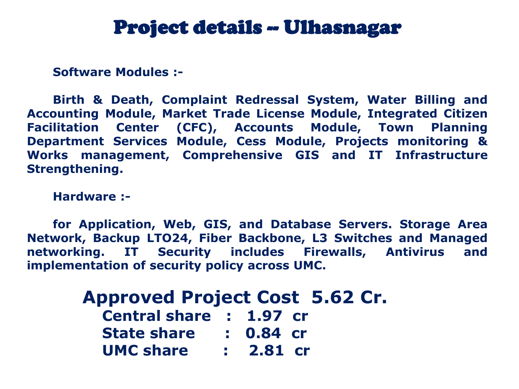## Project details -- Ulhasnagar

**Software Modules :-**

**Birth & Death, Complaint Redressal System, Water Billing and Accounting Module, Market Trade License Module, Integrated Citizen Facilitation Center (CFC), Accounts Module, Town Planning Department Services Module, Cess Module, Projects monitoring & Works management, Comprehensive GIS and IT Infrastructure Strengthening.**

**Hardware :-**

**for Application, Web, GIS, and Database Servers. Storage Area Network, Backup LTO24, Fiber Backbone, L3 Switches and Managed networking. IT Security includes Firewalls, Antivirus and implementation of security policy across UMC.**

| <b>Approved Project Cost 5.62 Cr.</b> |             |  |  |
|---------------------------------------|-------------|--|--|
| Central share : 1.97 cr               |             |  |  |
| <b>State share</b>                    | $: 0.84$ cr |  |  |
| <b>UMC share</b>                      | $: 2.81$ cr |  |  |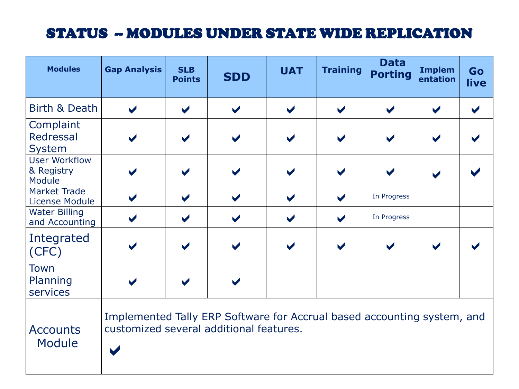### STATUS -- MODULES UNDER STATE WIDE REPLICATION

| <b>Modules</b>                               | <b>Gap Analysis</b>                                                                                                | <b>SLB</b><br><b>Points</b> | <b>SDD</b>           | <b>UAT</b>           | <b>Training</b>      | <b>Data</b><br><b>Porting</b> | <b>Implem</b><br>entation | Go<br>live           |
|----------------------------------------------|--------------------------------------------------------------------------------------------------------------------|-----------------------------|----------------------|----------------------|----------------------|-------------------------------|---------------------------|----------------------|
| Birth & Death                                | $\blacktriangledown$                                                                                               | $\blacktriangledown$        | $\blacktriangledown$ | $\blacktriangledown$ | $\blacktriangledown$ | $\blacktriangledown$          | $\blacktriangledown$      | $\blacktriangledown$ |
| Complaint<br>Redressal<br>System             |                                                                                                                    |                             |                      | $\blacktriangledown$ | $\blacktriangledown$ |                               |                           |                      |
| <b>User Workflow</b><br>& Registry<br>Module |                                                                                                                    |                             |                      |                      |                      |                               |                           |                      |
| <b>Market Trade</b><br><b>License Module</b> | $\blacktriangledown$                                                                                               |                             |                      | $\blacktriangledown$ | $\blacktriangledown$ | In Progress                   |                           |                      |
| <b>Water Billing</b><br>and Accounting       | $\blacktriangledown$                                                                                               | $\blacktriangledown$        | $\blacktriangledown$ | $\blacktriangledown$ | $\blacktriangledown$ | In Progress                   |                           |                      |
| Integrated<br>(CFC)                          |                                                                                                                    |                             |                      | $\blacktriangledown$ | $\blacktriangledown$ |                               |                           |                      |
| <b>Town</b><br>Planning<br>services          |                                                                                                                    |                             |                      |                      |                      |                               |                           |                      |
| <b>Accounts</b><br><b>Module</b>             | Implemented Tally ERP Software for Accrual based accounting system, and<br>customized several additional features. |                             |                      |                      |                      |                               |                           |                      |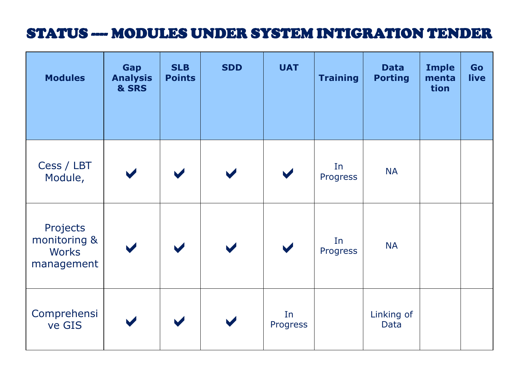#### STATUS ---- MODULES UNDER SYSTEM INTIGRATION TENDER

| <b>Modules</b>                                         | Gap<br><b>Analysis</b><br>& SRS | <b>SLB</b><br><b>Points</b> | <b>SDD</b>           | <b>UAT</b>     | <b>Training</b> | <b>Data</b><br><b>Porting</b> | <b>Imple</b><br>menta<br>tion | Go<br>live |
|--------------------------------------------------------|---------------------------------|-----------------------------|----------------------|----------------|-----------------|-------------------------------|-------------------------------|------------|
| Cess / LBT<br>Module,                                  |                                 |                             |                      |                | In<br>Progress  | <b>NA</b>                     |                               |            |
| Projects<br>monitoring &<br><b>Works</b><br>management | $\blacktriangledown$            |                             | $\blacktriangledown$ |                | In<br>Progress  | <b>NA</b>                     |                               |            |
| Comprehensi<br>ve GIS                                  |                                 |                             |                      | In<br>Progress |                 | Linking of<br><b>Data</b>     |                               |            |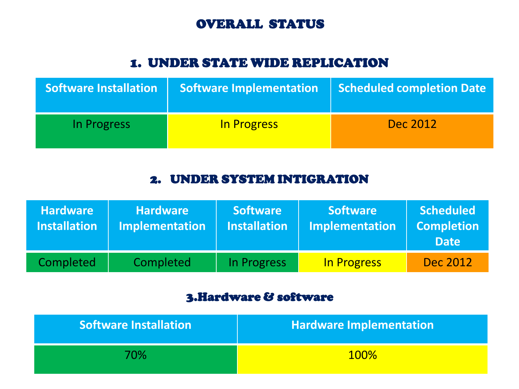#### OVERALL STATUS

#### 1. UNDER STATE WIDE REPLICATION

| <b>Software Installation</b> | <b>Software Implementation</b> | <b>Scheduled completion Date</b> |
|------------------------------|--------------------------------|----------------------------------|
| In Progress                  | In Progress                    | Dec 2012                         |

#### 2. UNDER SYSTEM INTIGRATION

| <b>Hardware</b><br><b>Installation</b> | <b>Hardware</b><br><b>Implementation</b> | <b>Software</b><br><b>Installation</b> | <b>Software</b><br><b>Implementation</b> | <b>Scheduled</b><br><b>Completion</b><br><b>Date</b> |
|----------------------------------------|------------------------------------------|----------------------------------------|------------------------------------------|------------------------------------------------------|
| Completed                              | Completed                                | In Progress                            | <b>In Progress</b>                       | Dec 2012                                             |

#### 3.Hardware & software

| <b>Software Installation</b> | <b>Hardware Implementation</b> |
|------------------------------|--------------------------------|
| 70%                          | <b>100%</b>                    |